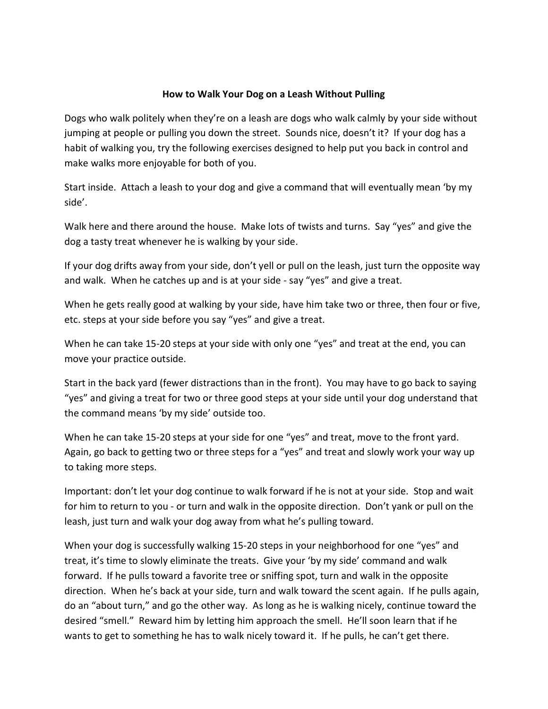## How to Walk Your Dog on a Leash Without Pulling

Dogs who walk politely when they're on a leash are dogs who walk calmly by your side without jumping at people or pulling you down the street. Sounds nice, doesn't it? If your dog has a habit of walking you, try the following exercises designed to help put you back in control and make walks more enjoyable for both of you.

Start inside. Attach a leash to your dog and give a command that will eventually mean 'by my side'.

Walk here and there around the house. Make lots of twists and turns. Say "yes" and give the dog a tasty treat whenever he is walking by your side.

If your dog drifts away from your side, don't yell or pull on the leash, just turn the opposite way and walk. When he catches up and is at your side - say "yes" and give a treat.

When he gets really good at walking by your side, have him take two or three, then four or five, etc. steps at your side before you say "yes" and give a treat.

When he can take 15-20 steps at your side with only one "yes" and treat at the end, you can move your practice outside.

Start in the back yard (fewer distractions than in the front). You may have to go back to saying "yes" and giving a treat for two or three good steps at your side until your dog understand that the command means 'by my side' outside too.

When he can take 15-20 steps at your side for one "yes" and treat, move to the front yard. Again, go back to getting two or three steps for a "yes" and treat and slowly work your way up to taking more steps.

Important: don't let your dog continue to walk forward if he is not at your side. Stop and wait for him to return to you - or turn and walk in the opposite direction. Don't yank or pull on the leash, just turn and walk your dog away from what he's pulling toward.

When your dog is successfully walking 15-20 steps in your neighborhood for one "yes" and treat, it's time to slowly eliminate the treats. Give your 'by my side' command and walk forward. If he pulls toward a favorite tree or sniffing spot, turn and walk in the opposite direction. When he's back at your side, turn and walk toward the scent again. If he pulls again, do an "about turn," and go the other way. As long as he is walking nicely, continue toward the desired "smell." Reward him by letting him approach the smell. He'll soon learn that if he wants to get to something he has to walk nicely toward it. If he pulls, he can't get there.